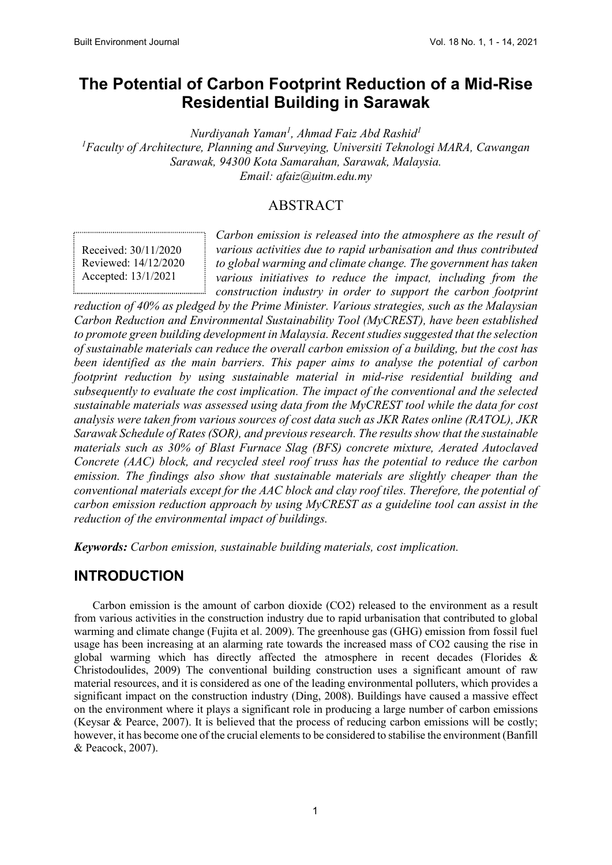# **The Potential of Carbon Footprint Reduction of a Mid-Rise Residential Building in Sarawak**

*Nurdiyanah Yaman1 , Ahmad Faiz Abd Rashid<sup>1</sup> 1 Faculty of Architecture, Planning and Surveying, Universiti Teknologi MARA, Cawangan Sarawak, 94300 Kota Samarahan, Sarawak, Malaysia. Email: afaiz@uitm.edu.my*

### ABSTRACT

Received: 30/11/2020 Reviewed: 14/12/2020 Accepted: 13/1/2021

*Carbon emission is released into the atmosphere as the result of various activities due to rapid urbanisation and thus contributed to global warming and climate change. The government has taken various initiatives to reduce the impact, including from the construction industry in order to support the carbon footprint* 

*reduction of 40% as pledged by the Prime Minister. Various strategies, such as the Malaysian Carbon Reduction and Environmental Sustainability Tool (MyCREST), have been established to promote green building development in Malaysia. Recent studies suggested that the selection of sustainable materials can reduce the overall carbon emission of a building, but the cost has been identified as the main barriers. This paper aims to analyse the potential of carbon footprint reduction by using sustainable material in mid-rise residential building and subsequently to evaluate the cost implication. The impact of the conventional and the selected sustainable materials was assessed using data from the MyCREST tool while the data for cost analysis were taken from various sources of cost data such as JKR Rates online (RATOL), JKR Sarawak Schedule of Rates (SOR), and previous research. The results show that the sustainable materials such as 30% of Blast Furnace Slag (BFS) concrete mixture, Aerated Autoclaved Concrete (AAC) block, and recycled steel roof truss has the potential to reduce the carbon emission. The findings also show that sustainable materials are slightly cheaper than the conventional materials except for the AAC block and clay roof tiles. Therefore, the potential of carbon emission reduction approach by using MyCREST as a guideline tool can assist in the reduction of the environmental impact of buildings.* 

*Keywords: Carbon emission, sustainable building materials, cost implication.*

## **INTRODUCTION**

Carbon emission is the amount of carbon dioxide (CO2) released to the environment as a result from various activities in the construction industry due to rapid urbanisation that contributed to global warming and climate change (Fujita et al. 2009). The greenhouse gas (GHG) emission from fossil fuel usage has been increasing at an alarming rate towards the increased mass of CO2 causing the rise in global warming which has directly affected the atmosphere in recent decades (Florides & Christodoulides, 2009) The conventional building construction uses a significant amount of raw material resources, and it is considered as one of the leading environmental polluters, which provides a significant impact on the construction industry (Ding, 2008). Buildings have caused a massive effect on the environment where it plays a significant role in producing a large number of carbon emissions (Keysar & Pearce, 2007). It is believed that the process of reducing carbon emissions will be costly; however, it has become one of the crucial elements to be considered to stabilise the environment (Banfill & Peacock, 2007).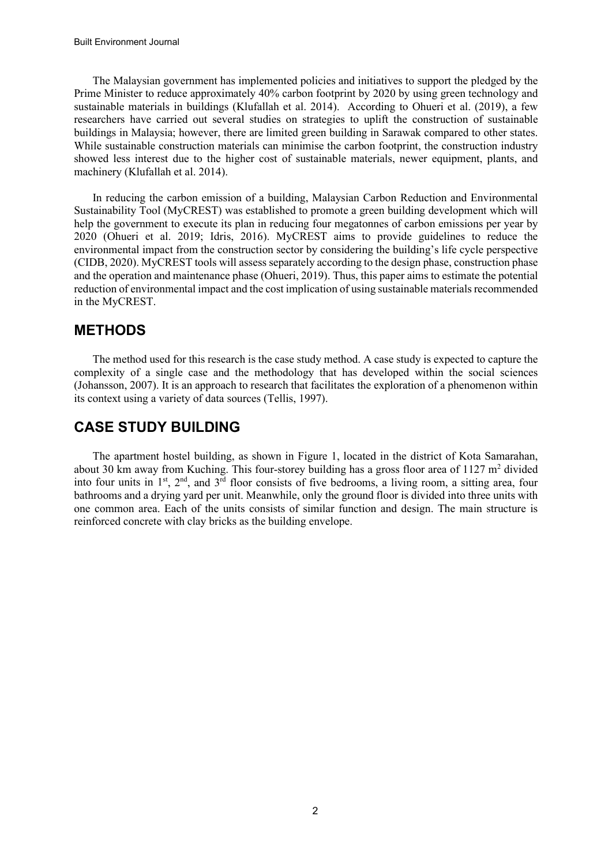The Malaysian government has implemented policies and initiatives to support the pledged by the Prime Minister to reduce approximately 40% carbon footprint by 2020 by using green technology and sustainable materials in buildings (Klufallah et al. 2014). According to Ohueri et al. (2019), a few researchers have carried out several studies on strategies to uplift the construction of sustainable buildings in Malaysia; however, there are limited green building in Sarawak compared to other states. While sustainable construction materials can minimise the carbon footprint, the construction industry showed less interest due to the higher cost of sustainable materials, newer equipment, plants, and machinery (Klufallah et al. 2014).

In reducing the carbon emission of a building, Malaysian Carbon Reduction and Environmental Sustainability Tool (MyCREST) was established to promote a green building development which will help the government to execute its plan in reducing four megatonnes of carbon emissions per year by 2020 (Ohueri et al. 2019; Idris, 2016). MyCREST aims to provide guidelines to reduce the environmental impact from the construction sector by considering the building's life cycle perspective (CIDB, 2020). MyCREST tools will assess separately according to the design phase, construction phase and the operation and maintenance phase (Ohueri, 2019). Thus, this paper aims to estimate the potential reduction of environmental impact and the cost implication of using sustainable materials recommended in the MyCREST.

### **METHODS**

The method used for this research is the case study method. A case study is expected to capture the complexity of a single case and the methodology that has developed within the social sciences (Johansson, 2007). It is an approach to research that facilitates the exploration of a phenomenon within its context using a variety of data sources (Tellis, 1997).

## **CASE STUDY BUILDING**

The apartment hostel building, as shown in Figure 1, located in the district of Kota Samarahan, about 30 km away from Kuching. This four-storey building has a gross floor area of  $1127 \text{ m}^2$  divided into four units in  $1<sup>st</sup>$ ,  $2<sup>nd</sup>$ , and  $3<sup>rd</sup>$  floor consists of five bedrooms, a living room, a sitting area, four bathrooms and a drying yard per unit. Meanwhile, only the ground floor is divided into three units with one common area. Each of the units consists of similar function and design. The main structure is reinforced concrete with clay bricks as the building envelope.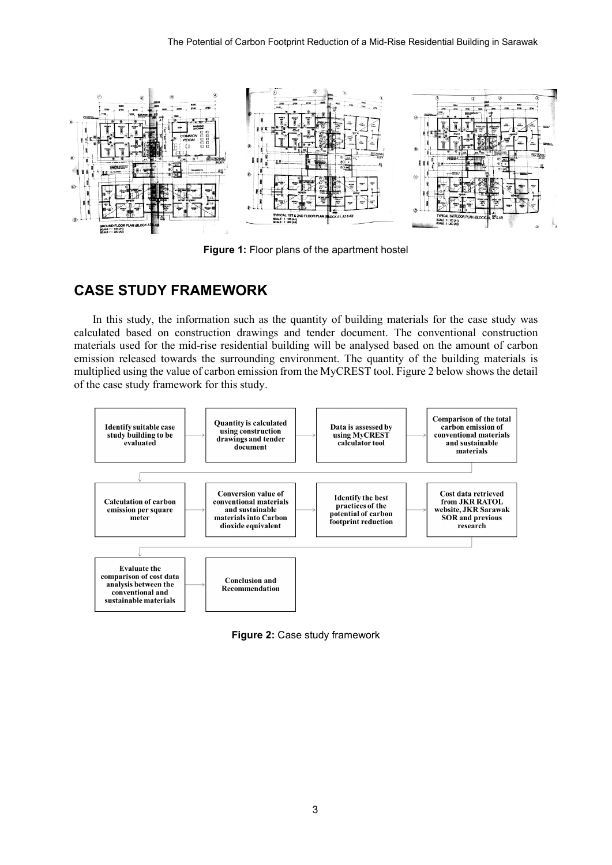

**Figure 1:** Floor plans of the apartment hostel

## **CASE STUDY FRAMEWORK**

In this study, the information such as the quantity of building materials for the case study was calculated based on construction drawings and tender document. The conventional construction materials used for the mid-rise residential building will be analysed based on the amount of carbon emission released towards the surrounding environment. The quantity of the building materials is multiplied using the value of carbon emission from the MyCREST tool. Figure 2 below shows the detail of the case study framework for this study.



**Figure 2:** Case study framework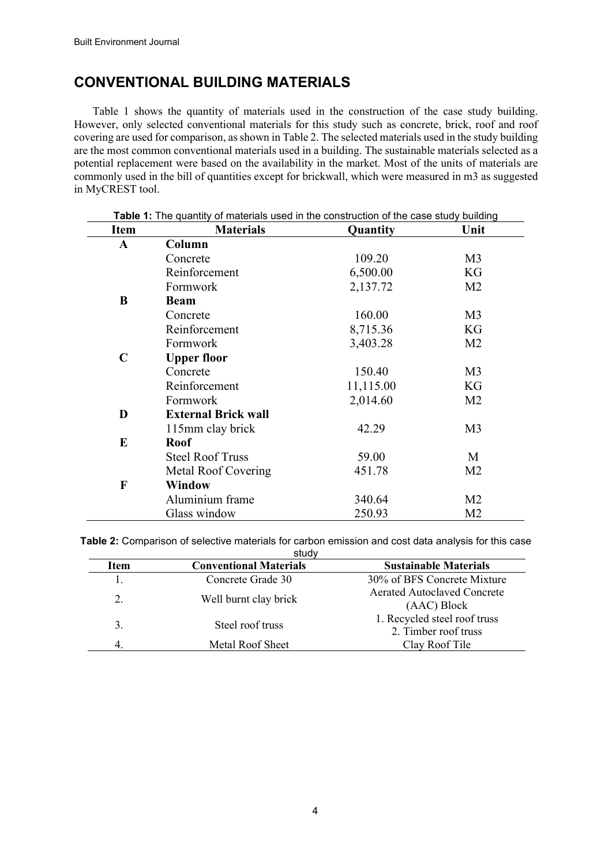## **CONVENTIONAL BUILDING MATERIALS**

Table 1 shows the quantity of materials used in the construction of the case study building. However, only selected conventional materials for this study such as concrete, brick, roof and roof covering are used for comparison, as shown in Table 2. The selected materials used in the study building are the most common conventional materials used in a building. The sustainable materials selected as a potential replacement were based on the availability in the market. Most of the units of materials are commonly used in the bill of quantities except for brickwall, which were measured in m3 as suggested in MyCREST tool.

| <b>Item</b> | <b>Materials</b>           | Quantity  | Unit           |
|-------------|----------------------------|-----------|----------------|
| A           | Column                     |           |                |
|             | Concrete                   | 109.20    | M <sub>3</sub> |
|             | Reinforcement              | 6,500.00  | KG             |
|             | Formwork                   | 2,137.72  | M <sub>2</sub> |
| B           | <b>Beam</b>                |           |                |
|             | Concrete                   | 160.00    | M <sub>3</sub> |
|             | Reinforcement              | 8,715.36  | KG             |
|             | Formwork                   | 3,403.28  | M <sub>2</sub> |
| $\mathbf C$ | <b>Upper floor</b>         |           |                |
|             | Concrete                   | 150.40    | M <sub>3</sub> |
|             | Reinforcement              | 11,115.00 | KG             |
|             | Formwork                   | 2,014.60  | M <sub>2</sub> |
| D           | <b>External Brick wall</b> |           |                |
|             | 115mm clay brick           | 42.29     | M <sub>3</sub> |
| E           | <b>Roof</b>                |           |                |
|             | <b>Steel Roof Truss</b>    | 59.00     | M              |
|             | Metal Roof Covering        | 451.78    | M <sub>2</sub> |
| F           | Window                     |           |                |
|             | Aluminium frame            | 340.64    | M <sub>2</sub> |
|             | Glass window               | 250.93    | M <sub>2</sub> |

| Table 2: Comparison of selective materials for carbon emission and cost data analysis for this case |       |  |  |
|-----------------------------------------------------------------------------------------------------|-------|--|--|
|                                                                                                     | study |  |  |

| oluuv       |                               |                                                      |  |  |  |  |
|-------------|-------------------------------|------------------------------------------------------|--|--|--|--|
| <b>Item</b> | <b>Conventional Materials</b> | <b>Sustainable Materials</b>                         |  |  |  |  |
| 1.          | Concrete Grade 30             | 30% of BFS Concrete Mixture                          |  |  |  |  |
| 2.          | Well burnt clay brick         | <b>Aerated Autoclaved Concrete</b><br>(AAC) Block    |  |  |  |  |
| 3.          | Steel roof truss              | 1. Recycled steel roof truss<br>2. Timber roof truss |  |  |  |  |
|             | Metal Roof Sheet              | Clay Roof Tile                                       |  |  |  |  |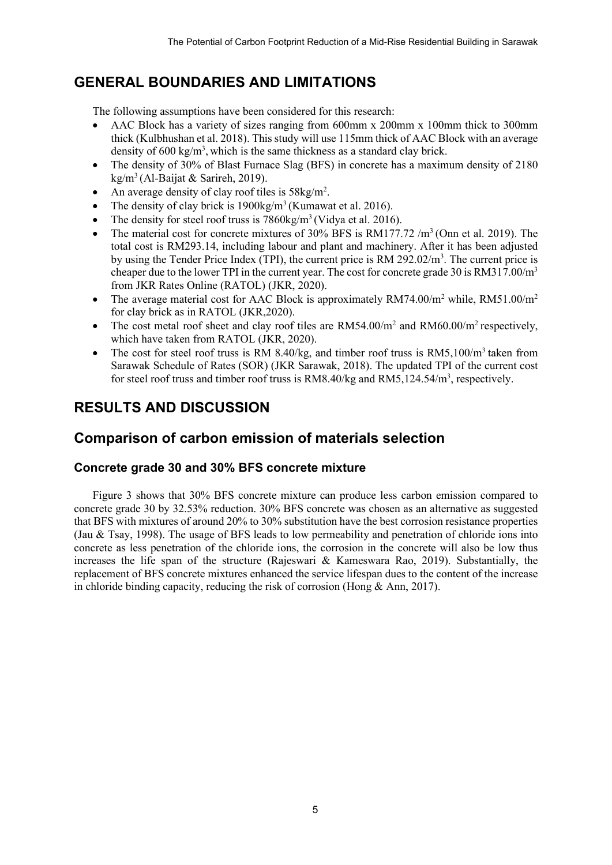# **GENERAL BOUNDARIES AND LIMITATIONS**

The following assumptions have been considered for this research:

- AAC Block has a variety of sizes ranging from 600mm x 200mm x 100mm thick to 300mm thick (Kulbhushan et al. 2018). This study will use 115mm thick of AAC Block with an average density of 600 kg/m<sup>3</sup>, which is the same thickness as a standard clay brick.
- The density of 30% of Blast Furnace Slag (BFS) in concrete has a maximum density of 2180  $kg/m<sup>3</sup>$  (Al-Baijat & Sarireh, 2019).
- An average density of clay roof tiles is  $58\text{kg/m}^2$ .
- The density of clay brick is  $1900\text{kg/m}^3$  (Kumawat et al. 2016).
- The density for steel roof truss is  $7860 \text{kg/m}^3$  (Vidya et al. 2016).
- The material cost for concrete mixtures of  $30\%$  BFS is RM177.72 /m<sup>3</sup> (Onn et al. 2019). The total cost is RM293.14, including labour and plant and machinery. After it has been adjusted by using the Tender Price Index (TPI), the current price is RM 292.02/m<sup>3</sup>. The current price is cheaper due to the lower TPI in the current year. The cost for concrete grade 30 is RM317.00/m3 from JKR Rates Online (RATOL) (JKR, 2020).
- The average material cost for AAC Block is approximately  $RM74.00/m^2$  while,  $RM51.00/m^2$ for clay brick as in RATOL (JKR,2020).
- The cost metal roof sheet and clay roof tiles are  $RM54.00/m^2$  and  $RM60.00/m^2$  respectively, which have taken from RATOL (JKR, 2020).
- The cost for steel roof truss is RM 8.40/kg, and timber roof truss is RM5,100/m<sup>3</sup> taken from Sarawak Schedule of Rates (SOR) (JKR Sarawak, 2018). The updated TPI of the current cost for steel roof truss and timber roof truss is RM8.40/kg and RM5,124.54/m<sup>3</sup>, respectively.

# **RESULTS AND DISCUSSION**

## **Comparison of carbon emission of materials selection**

#### **Concrete grade 30 and 30% BFS concrete mixture**

Figure 3 shows that 30% BFS concrete mixture can produce less carbon emission compared to concrete grade 30 by 32.53% reduction. 30% BFS concrete was chosen as an alternative as suggested that BFS with mixtures of around 20% to 30% substitution have the best corrosion resistance properties (Jau & Tsay, 1998). The usage of BFS leads to low permeability and penetration of chloride ions into concrete as less penetration of the chloride ions, the corrosion in the concrete will also be low thus increases the life span of the structure (Rajeswari & Kameswara Rao, 2019). Substantially, the replacement of BFS concrete mixtures enhanced the service lifespan dues to the content of the increase in chloride binding capacity, reducing the risk of corrosion (Hong & Ann, 2017).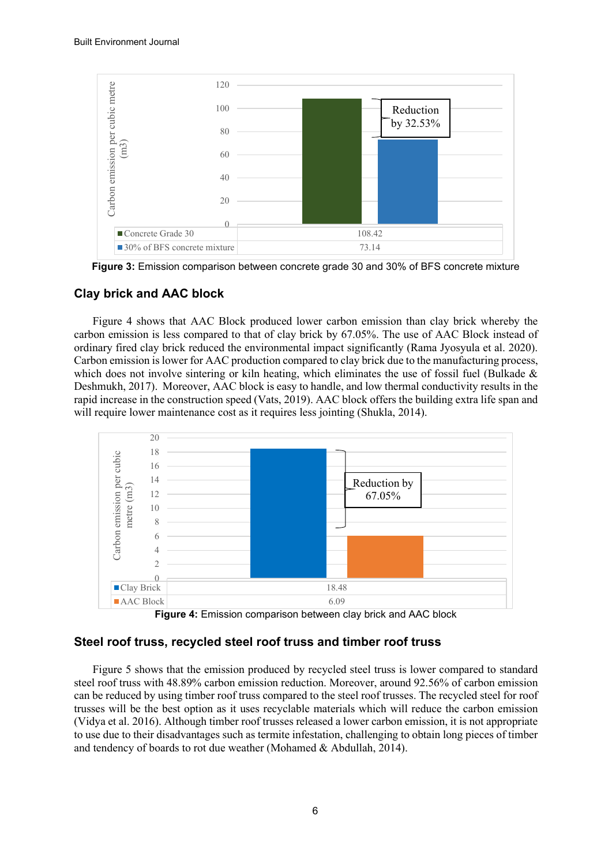

**Figure 3:** Emission comparison between concrete grade 30 and 30% of BFS concrete mixture

#### **Clay brick and AAC block**

Figure 4 shows that AAC Block produced lower carbon emission than clay brick whereby the carbon emission is less compared to that of clay brick by 67.05%. The use of AAC Block instead of ordinary fired clay brick reduced the environmental impact significantly (Rama Jyosyula et al. 2020). Carbon emission is lower for AAC production compared to clay brick due to the manufacturing process, which does not involve sintering or kiln heating, which eliminates the use of fossil fuel (Bulkade & Deshmukh, 2017). Moreover, AAC block is easy to handle, and low thermal conductivity results in the rapid increase in the construction speed (Vats, 2019). AAC block offers the building extra life span and will require lower maintenance cost as it requires less jointing (Shukla, 2014).



**Figure 4:** Emission comparison between clay brick and AAC block

#### **Steel roof truss, recycled steel roof truss and timber roof truss**

Figure 5 shows that the emission produced by recycled steel truss is lower compared to standard steel roof truss with 48.89% carbon emission reduction. Moreover, around 92.56% of carbon emission can be reduced by using timber roof truss compared to the steel roof trusses. The recycled steel for roof trusses will be the best option as it uses recyclable materials which will reduce the carbon emission (Vidya et al. 2016). Although timber roof trusses released a lower carbon emission, it is not appropriate to use due to their disadvantages such as termite infestation, challenging to obtain long pieces of timber and tendency of boards to rot due weather (Mohamed & Abdullah, 2014).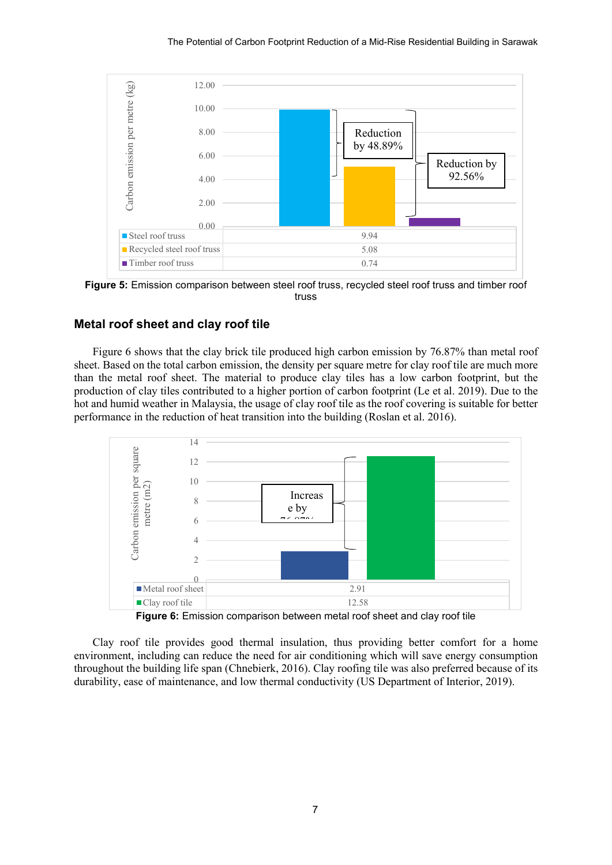

**Figure 5:** Emission comparison between steel roof truss, recycled steel roof truss and timber roof truss

#### **Metal roof sheet and clay roof tile**

Figure 6 shows that the clay brick tile produced high carbon emission by 76.87% than metal roof sheet. Based on the total carbon emission, the density per square metre for clay roof tile are much more than the metal roof sheet. The material to produce clay tiles has a low carbon footprint, but the production of clay tiles contributed to a higher portion of carbon footprint (Le et al. 2019). Due to the hot and humid weather in Malaysia, the usage of clay roof tile as the roof covering is suitable for better performance in the reduction of heat transition into the building (Roslan et al. 2016).



**Figure 6:** Emission comparison between metal roof sheet and clay roof tile

Clay roof tile provides good thermal insulation, thus providing better comfort for a home environment, including can reduce the need for air conditioning which will save energy consumption throughout the building life span (Chnebierk, 2016). Clay roofing tile was also preferred because of its durability, ease of maintenance, and low thermal conductivity (US Department of Interior, 2019).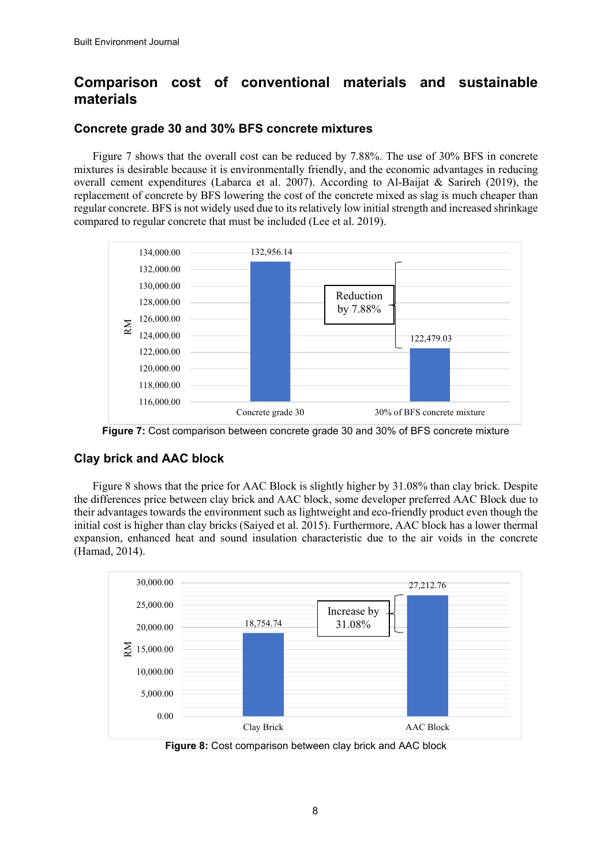# **Comparison cost of conventional materials and sustainable materials**

### **Concrete grade 30 and 30% BFS concrete mixtures**

Figure 7 shows that the overall cost can be reduced by 7.88%. The use of 30% BFS in concrete mixtures is desirable because it is environmentally friendly, and the economic advantages in reducing overall cement expenditures (Labarca et al. 2007). According to Al-Baijat & Sarireh (2019), the replacement of concrete by BFS lowering the cost of the concrete mixed as slag is much cheaper than regular concrete. BFS is not widely used due to its relatively low initial strength and increased shrinkage compared to regular concrete that must be included (Lee et al. 2019).



**Figure 7:** Cost comparison between concrete grade 30 and 30% of BFS concrete mixture

### **Clay brick and AAC block**

Figure 8 shows that the price for AAC Block is slightly higher by 31.08% than clay brick. Despite the differences price between clay brick and AAC block, some developer preferred AAC Block due to their advantages towards the environment such as lightweight and eco-friendly product even though the initial cost is higher than clay bricks (Saiyed et al. 2015). Furthermore, AAC block has a lower thermal expansion, enhanced heat and sound insulation characteristic due to the air voids in the concrete (Hamad, 2014).



**Figure 8:** Cost comparison between clay brick and AAC block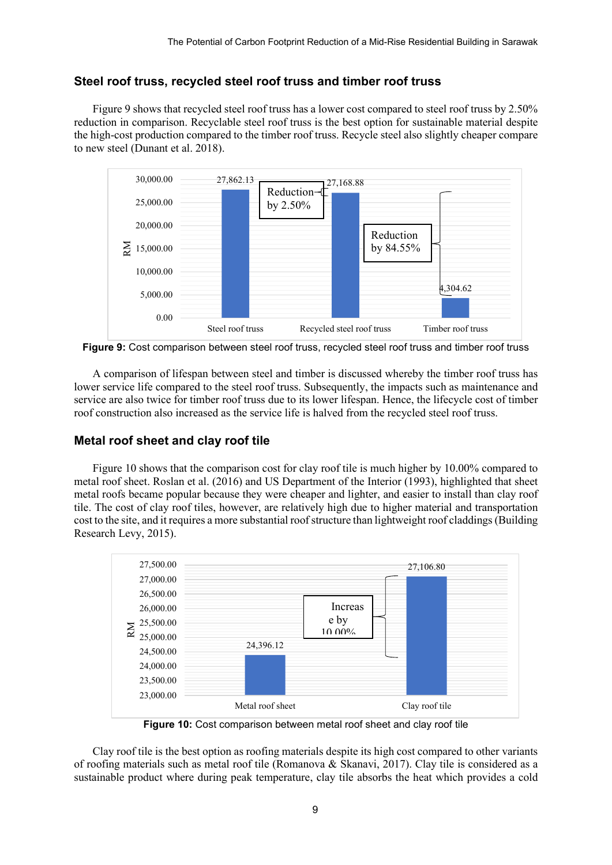### **Steel roof truss, recycled steel roof truss and timber roof truss**

Figure 9 shows that recycled steel roof truss has a lower cost compared to steel roof truss by 2.50% reduction in comparison. Recyclable steel roof truss is the best option for sustainable material despite the high-cost production compared to the timber roof truss. Recycle steel also slightly cheaper compare to new steel (Dunant et al. 2018).



**Figure 9:** Cost comparison between steel roof truss, recycled steel roof truss and timber roof truss

A comparison of lifespan between steel and timber is discussed whereby the timber roof truss has lower service life compared to the steel roof truss. Subsequently, the impacts such as maintenance and service are also twice for timber roof truss due to its lower lifespan. Hence, the lifecycle cost of timber roof construction also increased as the service life is halved from the recycled steel roof truss.

### **Metal roof sheet and clay roof tile**

Figure 10 shows that the comparison cost for clay roof tile is much higher by 10.00% compared to metal roof sheet. Roslan et al. (2016) and US Department of the Interior (1993), highlighted that sheet metal roofs became popular because they were cheaper and lighter, and easier to install than clay roof tile. The cost of clay roof tiles, however, are relatively high due to higher material and transportation cost to the site, and it requires a more substantial roof structure than lightweight roof claddings(Building Research Levy, 2015).



**Figure 10:** Cost comparison between metal roof sheet and clay roof tile

Clay roof tile is the best option as roofing materials despite its high cost compared to other variants of roofing materials such as metal roof tile (Romanova & Skanavi, 2017). Clay tile is considered as a sustainable product where during peak temperature, clay tile absorbs the heat which provides a cold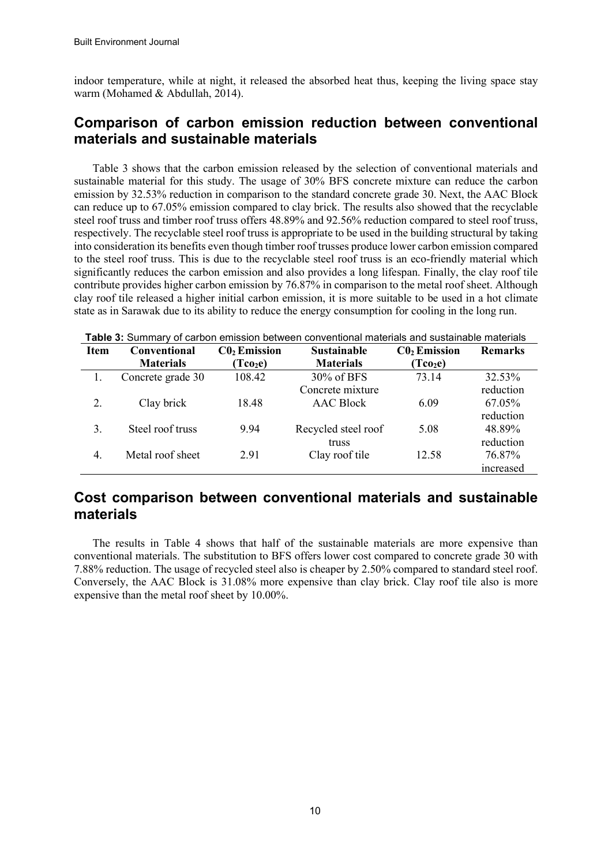indoor temperature, while at night, it released the absorbed heat thus, keeping the living space stay warm (Mohamed & Abdullah, 2014).

## **Comparison of carbon emission reduction between conventional materials and sustainable materials**

Table 3 shows that the carbon emission released by the selection of conventional materials and sustainable material for this study. The usage of 30% BFS concrete mixture can reduce the carbon emission by 32.53% reduction in comparison to the standard concrete grade 30. Next, the AAC Block can reduce up to 67.05% emission compared to clay brick. The results also showed that the recyclable steel roof truss and timber roof truss offers 48.89% and 92.56% reduction compared to steel roof truss, respectively. The recyclable steel roof truss is appropriate to be used in the building structural by taking into consideration its benefits even though timber roof trusses produce lower carbon emission compared to the steel roof truss. This is due to the recyclable steel roof truss is an eco-friendly material which significantly reduces the carbon emission and also provides a long lifespan. Finally, the clay roof tile contribute provides higher carbon emission by 76.87% in comparison to the metal roof sheet. Although clay roof tile released a higher initial carbon emission, it is more suitable to be used in a hot climate state as in Sarawak due to its ability to reduce the energy consumption for cooling in the long run.

| <b>Table 3:</b> Summary of carbon emission between conventional materials and sustainable materials |                     |                             |                                      |                      |                |  |
|-----------------------------------------------------------------------------------------------------|---------------------|-----------------------------|--------------------------------------|----------------------|----------------|--|
| <b>Item</b>                                                                                         | <b>Conventional</b> | $C_0$ <sub>2</sub> Emission | <b>Sustainable</b><br>$C_0$ Emission |                      | <b>Remarks</b> |  |
|                                                                                                     | <b>Materials</b>    | (Tco <sub>2</sub> e)        | <b>Materials</b>                     | (Tco <sub>2</sub> e) |                |  |
|                                                                                                     | Concrete grade 30   | 108.42                      | 30% of BFS                           | 73.14                | 32.53%         |  |
|                                                                                                     |                     |                             | Concrete mixture                     |                      | reduction      |  |
| 2.                                                                                                  | Clay brick          | 18.48                       | <b>AAC Block</b>                     | 6.09                 | 67.05%         |  |
|                                                                                                     |                     |                             |                                      |                      | reduction      |  |
| 3.                                                                                                  | Steel roof truss    | 9.94                        | Recycled steel roof                  | 5.08                 | 48.89%         |  |
|                                                                                                     |                     |                             | truss                                |                      | reduction      |  |
| 4.                                                                                                  | Metal roof sheet    | 2.91                        | Clay roof tile                       | 12.58                | 76.87%         |  |
|                                                                                                     |                     |                             |                                      |                      | increased      |  |

### **Cost comparison between conventional materials and sustainable materials**

The results in Table 4 shows that half of the sustainable materials are more expensive than conventional materials. The substitution to BFS offers lower cost compared to concrete grade 30 with 7.88% reduction. The usage of recycled steel also is cheaper by 2.50% compared to standard steel roof. Conversely, the AAC Block is 31.08% more expensive than clay brick. Clay roof tile also is more expensive than the metal roof sheet by 10.00%.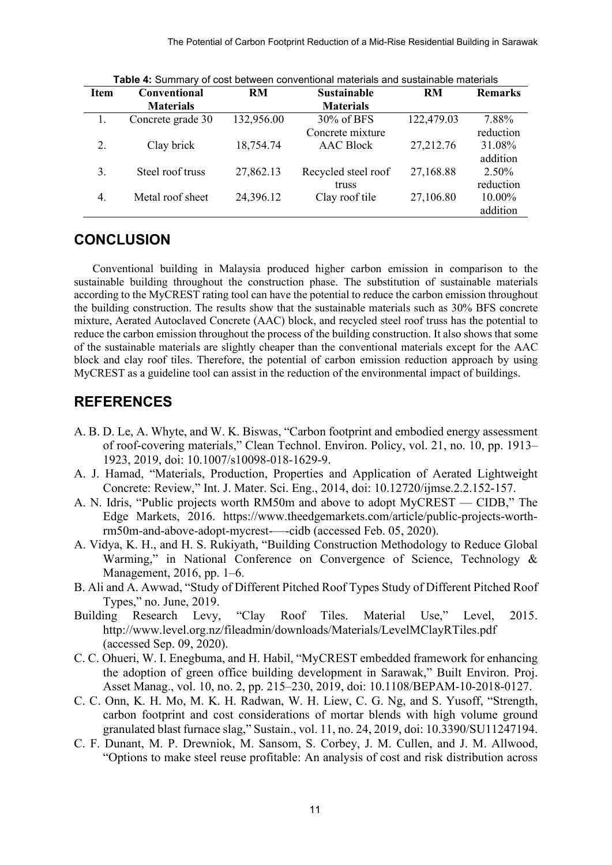| <b>Item</b> | <b>Conventional</b> | <b>RM</b>  | <b>Sustainable</b>  | <b>RM</b>  | <b>Remarks</b> |
|-------------|---------------------|------------|---------------------|------------|----------------|
|             | <b>Materials</b>    |            | <b>Materials</b>    |            |                |
|             | Concrete grade 30   | 132,956.00 | 30% of BFS          | 122,479.03 | 7.88%          |
|             |                     |            | Concrete mixture    |            | reduction      |
| 2.          | Clay brick          | 18,754.74  | <b>AAC Block</b>    | 27,212.76  | 31.08%         |
|             |                     |            |                     |            | addition       |
| 3.          | Steel roof truss    | 27,862.13  | Recycled steel roof | 27,168.88  | $2.50\%$       |
|             |                     |            | truss               |            | reduction      |
| 4.          | Metal roof sheet    | 24,396.12  | Clay roof tile      | 27,106.80  | 10.00%         |
|             |                     |            |                     |            | addition       |

**Table 4:** Summary of cost between conventional materials and sustainable materials

### **CONCLUSION**

Conventional building in Malaysia produced higher carbon emission in comparison to the sustainable building throughout the construction phase. The substitution of sustainable materials according to the MyCREST rating tool can have the potential to reduce the carbon emission throughout the building construction. The results show that the sustainable materials such as 30% BFS concrete mixture, Aerated Autoclaved Concrete (AAC) block, and recycled steel roof truss has the potential to reduce the carbon emission throughout the process of the building construction. It also shows that some of the sustainable materials are slightly cheaper than the conventional materials except for the AAC block and clay roof tiles. Therefore, the potential of carbon emission reduction approach by using MyCREST as a guideline tool can assist in the reduction of the environmental impact of buildings.

### **REFERENCES**

- A. B. D. Le, A. Whyte, and W. K. Biswas, "Carbon footprint and embodied energy assessment of roof-covering materials," Clean Technol. Environ. Policy, vol. 21, no. 10, pp. 1913– 1923, 2019, doi: 10.1007/s10098-018-1629-9.
- A. J. Hamad, "Materials, Production, Properties and Application of Aerated Lightweight Concrete: Review," Int. J. Mater. Sci. Eng., 2014, doi: 10.12720/ijmse.2.2.152-157.
- A. N. Idris, "Public projects worth RM50m and above to adopt MyCREST CIDB," The Edge Markets, 2016. https://www.theedgemarkets.com/article/public-projects-worthrm50m-and-above-adopt-mycrest-—-cidb (accessed Feb. 05, 2020).
- A. Vidya, K. H., and H. S. Rukiyath, "Building Construction Methodology to Reduce Global Warming," in National Conference on Convergence of Science, Technology & Management, 2016, pp. 1–6.
- B. Ali and A. Awwad, "Study of Different Pitched Roof Types Study of Different Pitched Roof Types," no. June, 2019.
- Building Research Levy, "Clay Roof Tiles. Material Use," Level, 2015. http://www.level.org.nz/fileadmin/downloads/Materials/LevelMClayRTiles.pdf (accessed Sep. 09, 2020).
- C. C. Ohueri, W. I. Enegbuma, and H. Habil, "MyCREST embedded framework for enhancing the adoption of green office building development in Sarawak," Built Environ. Proj. Asset Manag., vol. 10, no. 2, pp. 215–230, 2019, doi: 10.1108/BEPAM-10-2018-0127.
- C. C. Onn, K. H. Mo, M. K. H. Radwan, W. H. Liew, C. G. Ng, and S. Yusoff, "Strength, carbon footprint and cost considerations of mortar blends with high volume ground granulated blast furnace slag," Sustain., vol. 11, no. 24, 2019, doi: 10.3390/SU11247194.
- C. F. Dunant, M. P. Drewniok, M. Sansom, S. Corbey, J. M. Cullen, and J. M. Allwood, "Options to make steel reuse profitable: An analysis of cost and risk distribution across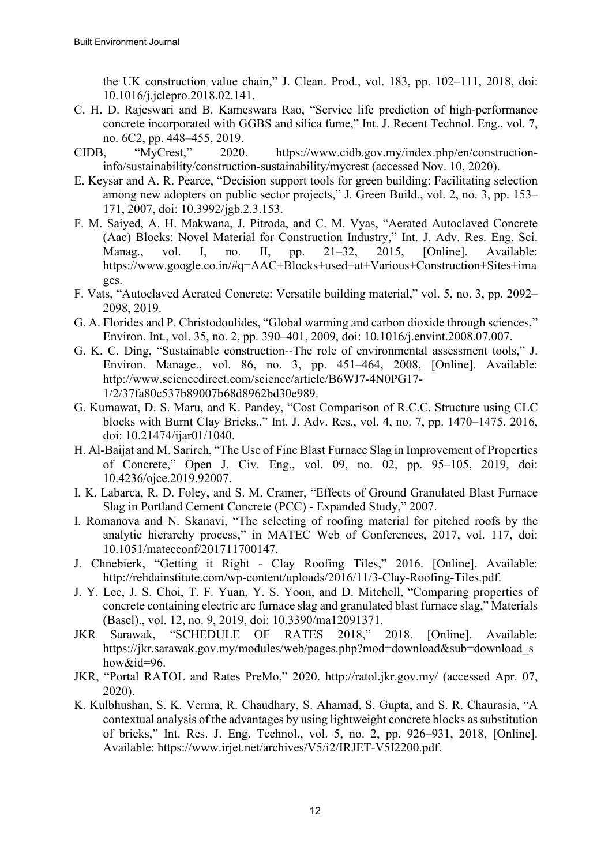the UK construction value chain," J. Clean. Prod., vol. 183, pp. 102–111, 2018, doi: 10.1016/j.jclepro.2018.02.141.

- C. H. D. Rajeswari and B. Kameswara Rao, "Service life prediction of high-performance concrete incorporated with GGBS and silica fume," Int. J. Recent Technol. Eng., vol. 7, no. 6C2, pp. 448–455, 2019.
- CIDB, "MyCrest," 2020. https://www.cidb.gov.my/index.php/en/constructioninfo/sustainability/construction-sustainability/mycrest (accessed Nov. 10, 2020).
- E. Keysar and A. R. Pearce, "Decision support tools for green building: Facilitating selection among new adopters on public sector projects," J. Green Build., vol. 2, no. 3, pp. 153– 171, 2007, doi: 10.3992/jgb.2.3.153.
- F. M. Saiyed, A. H. Makwana, J. Pitroda, and C. M. Vyas, "Aerated Autoclaved Concrete (Aac) Blocks: Novel Material for Construction Industry," Int. J. Adv. Res. Eng. Sci. Manag., vol. I, no. II, pp. 21–32, 2015, [Online]. Available: https://www.google.co.in/#q=AAC+Blocks+used+at+Various+Construction+Sites+ima ges.
- F. Vats, "Autoclaved Aerated Concrete: Versatile building material," vol. 5, no. 3, pp. 2092– 2098, 2019.
- G. A. Florides and P. Christodoulides, "Global warming and carbon dioxide through sciences," Environ. Int., vol. 35, no. 2, pp. 390–401, 2009, doi: 10.1016/j.envint.2008.07.007.
- G. K. C. Ding, "Sustainable construction--The role of environmental assessment tools," J. Environ. Manage., vol. 86, no. 3, pp. 451–464, 2008, [Online]. Available: http://www.sciencedirect.com/science/article/B6WJ7-4N0PG17- 1/2/37fa80c537b89007b68d8962bd30e989.
- G. Kumawat, D. S. Maru, and K. Pandey, "Cost Comparison of R.C.C. Structure using CLC blocks with Burnt Clay Bricks.," Int. J. Adv. Res., vol. 4, no. 7, pp. 1470–1475, 2016, doi: 10.21474/ijar01/1040.
- H. Al-Baijat and M. Sarireh, "The Use of Fine Blast Furnace Slag in Improvement of Properties of Concrete," Open J. Civ. Eng., vol. 09, no. 02, pp. 95–105, 2019, doi: 10.4236/ojce.2019.92007.
- I. K. Labarca, R. D. Foley, and S. M. Cramer, "Effects of Ground Granulated Blast Furnace Slag in Portland Cement Concrete (PCC) - Expanded Study," 2007.
- I. Romanova and N. Skanavi, "The selecting of roofing material for pitched roofs by the analytic hierarchy process," in MATEC Web of Conferences, 2017, vol. 117, doi: 10.1051/matecconf/201711700147.
- J. Chnebierk, "Getting it Right Clay Roofing Tiles," 2016. [Online]. Available: http://rehdainstitute.com/wp-content/uploads/2016/11/3-Clay-Roofing-Tiles.pdf.
- J. Y. Lee, J. S. Choi, T. F. Yuan, Y. S. Yoon, and D. Mitchell, "Comparing properties of concrete containing electric arc furnace slag and granulated blast furnace slag," Materials (Basel)., vol. 12, no. 9, 2019, doi: 10.3390/ma12091371.
- JKR Sarawak, "SCHEDULE OF RATES 2018," 2018. [Online]. Available: https://jkr.sarawak.gov.my/modules/web/pages.php?mod=download&sub=download\_s how&id=96.
- JKR, "Portal RATOL and Rates PreMo," 2020. http://ratol.jkr.gov.my/ (accessed Apr. 07, 2020).
- K. Kulbhushan, S. K. Verma, R. Chaudhary, S. Ahamad, S. Gupta, and S. R. Chaurasia, "A contextual analysis of the advantages by using lightweight concrete blocks as substitution of bricks," Int. Res. J. Eng. Technol., vol. 5, no. 2, pp. 926–931, 2018, [Online]. Available: https://www.irjet.net/archives/V5/i2/IRJET-V5I2200.pdf.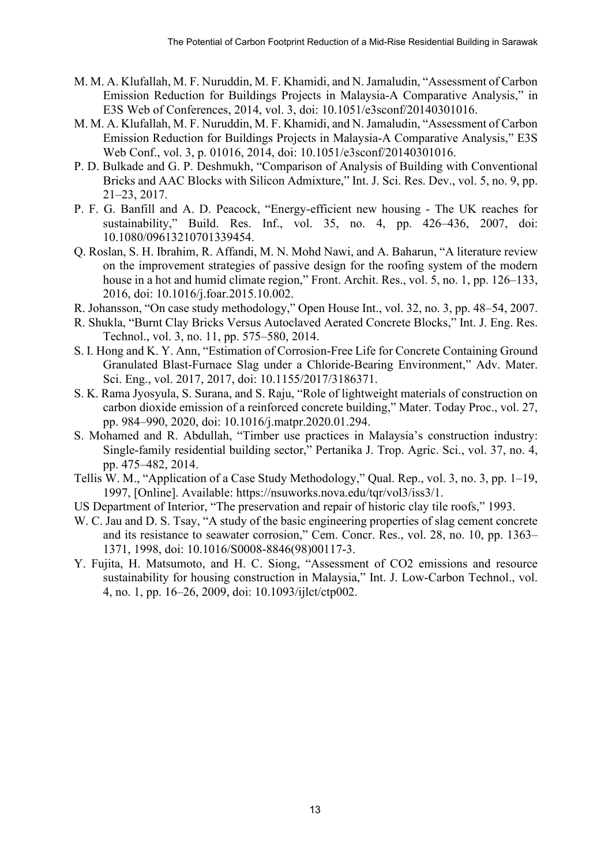- M. M. A. Klufallah, M. F. Nuruddin, M. F. Khamidi, and N. Jamaludin, "Assessment of Carbon Emission Reduction for Buildings Projects in Malaysia-A Comparative Analysis," in E3S Web of Conferences, 2014, vol. 3, doi: 10.1051/e3sconf/20140301016.
- M. M. A. Klufallah, M. F. Nuruddin, M. F. Khamidi, and N. Jamaludin, "Assessment of Carbon Emission Reduction for Buildings Projects in Malaysia-A Comparative Analysis," E3S Web Conf., vol. 3, p. 01016, 2014, doi: 10.1051/e3sconf/20140301016.
- P. D. Bulkade and G. P. Deshmukh, "Comparison of Analysis of Building with Conventional Bricks and AAC Blocks with Silicon Admixture," Int. J. Sci. Res. Dev., vol. 5, no. 9, pp. 21–23, 2017.
- P. F. G. Banfill and A. D. Peacock, "Energy-efficient new housing The UK reaches for sustainability," Build. Res. Inf., vol. 35, no. 4, pp. 426–436, 2007, doi: 10.1080/09613210701339454.
- Q. Roslan, S. H. Ibrahim, R. Affandi, M. N. Mohd Nawi, and A. Baharun, "A literature review on the improvement strategies of passive design for the roofing system of the modern house in a hot and humid climate region," Front. Archit. Res., vol. 5, no. 1, pp. 126–133, 2016, doi: 10.1016/j.foar.2015.10.002.
- R. Johansson, "On case study methodology," Open House Int., vol. 32, no. 3, pp. 48–54, 2007.
- R. Shukla, "Burnt Clay Bricks Versus Autoclaved Aerated Concrete Blocks," Int. J. Eng. Res. Technol., vol. 3, no. 11, pp. 575–580, 2014.
- S. I. Hong and K. Y. Ann, "Estimation of Corrosion-Free Life for Concrete Containing Ground Granulated Blast-Furnace Slag under a Chloride-Bearing Environment," Adv. Mater. Sci. Eng., vol. 2017, 2017, doi: 10.1155/2017/3186371.
- S. K. Rama Jyosyula, S. Surana, and S. Raju, "Role of lightweight materials of construction on carbon dioxide emission of a reinforced concrete building," Mater. Today Proc., vol. 27, pp. 984–990, 2020, doi: 10.1016/j.matpr.2020.01.294.
- S. Mohamed and R. Abdullah, "Timber use practices in Malaysia's construction industry: Single-family residential building sector," Pertanika J. Trop. Agric. Sci., vol. 37, no. 4, pp. 475–482, 2014.
- Tellis W. M., "Application of a Case Study Methodology," Qual. Rep., vol. 3, no. 3, pp. 1–19, 1997, [Online]. Available: https://nsuworks.nova.edu/tqr/vol3/iss3/1.
- US Department of Interior, "The preservation and repair of historic clay tile roofs," 1993.
- W. C. Jau and D. S. Tsay, "A study of the basic engineering properties of slag cement concrete and its resistance to seawater corrosion," Cem. Concr. Res., vol. 28, no. 10, pp. 1363– 1371, 1998, doi: 10.1016/S0008-8846(98)00117-3.
- Y. Fujita, H. Matsumoto, and H. C. Siong, "Assessment of CO2 emissions and resource sustainability for housing construction in Malaysia," Int. J. Low-Carbon Technol., vol. 4, no. 1, pp. 16–26, 2009, doi: 10.1093/ijlct/ctp002.